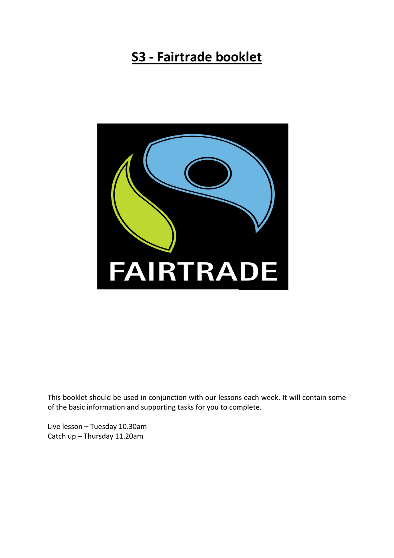# **S3 - Fairtrade booklet**



This booklet should be used in conjunction with our lessons each week. It will contain some of the basic information and supporting tasks for you to complete.

Live lesson – Tuesday 10.30am Catch up – Thursday 11.20am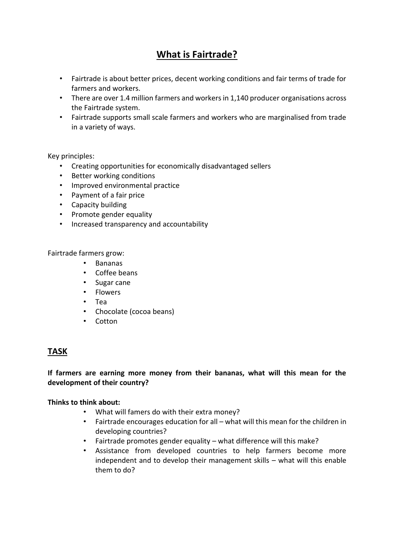# **What is Fairtrade?**

- Fairtrade is about better prices, decent working conditions and fair terms of trade for farmers and workers.
- There are over 1.4 million farmers and workers in 1,140 producer organisations across the Fairtrade system.
- Fairtrade supports small scale farmers and workers who are marginalised from trade in a variety of ways.

#### Key principles:

- Creating opportunities for economically disadvantaged sellers
- Better working conditions
- Improved environmental practice
- Payment of a fair price
- Capacity building
- Promote gender equality
- Increased transparency and accountability

Fairtrade farmers grow:

- Bananas
- Coffee beans
- Sugar cane
- Flowers
- Tea
- Chocolate (cocoa beans)
- Cotton

# **TASK**

#### **If farmers are earning more money from their bananas, what will this mean for the development of their country?**

#### **Thinks to think about:**

- What will famers do with their extra money?
- Fairtrade encourages education for all what will this mean for the children in developing countries?
- Fairtrade promotes gender equality what difference will this make?
- Assistance from developed countries to help farmers become more independent and to develop their management skills – what will this enable them to do?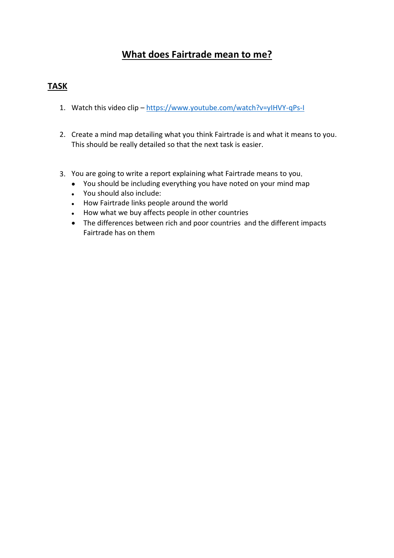# **What does Fairtrade mean to me?**

# **TASK**

- 1. Watch this video clip <https://www.youtube.com/watch?v=yIHVY-qPs-I>
- 2. Create a mind map detailing what you think Fairtrade is and what it means to you. This should be really detailed so that the next task is easier.
- 3. You are going to write a report explaining what Fairtrade means to you.
	- You should be including everything you have noted on your mind map
	- You should also include:
	- How Fairtrade links people around the world
	- How what we buy affects people in other countries
	- The differences between rich and poor countries and the different impacts Fairtrade has on them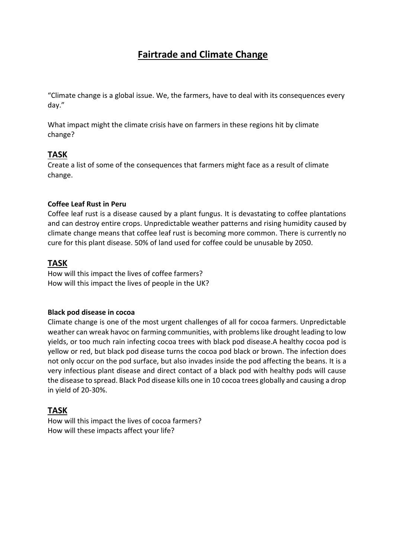# **Fairtrade and Climate Change**

"Climate change is a global issue. We, the farmers, have to deal with its consequences every day."

What impact might the climate crisis have on farmers in these regions hit by climate change?

# **TASK**

Create a list of some of the consequences that farmers might face as a result of climate change.

#### **Coffee Leaf Rust in Peru**

Coffee leaf rust is a disease caused by a plant fungus. It is devastating to coffee plantations and can destroy entire crops. Unpredictable weather patterns and rising humidity caused by climate change means that coffee leaf rust is becoming more common. There is currently no cure for this plant disease. 50% of land used for coffee could be unusable by 2050.

## **TASK**

How will this impact the lives of coffee farmers? How will this impact the lives of people in the UK?

#### **Black pod disease in cocoa**

Climate change is one of the most urgent challenges of all for cocoa farmers. Unpredictable weather can wreak havoc on farming communities, with problems like drought leading to low yields, or too much rain infecting cocoa trees with black pod disease.A healthy cocoa pod is yellow or red, but black pod disease turns the cocoa pod black or brown. The infection does not only occur on the pod surface, but also invades inside the pod affecting the beans. It is a very infectious plant disease and direct contact of a black pod with healthy pods will cause the disease to spread. Black Pod disease kills one in 10 cocoa trees globally and causing a drop in yield of 20-30%.

## **TASK**

How will this impact the lives of cocoa farmers? How will these impacts affect your life?